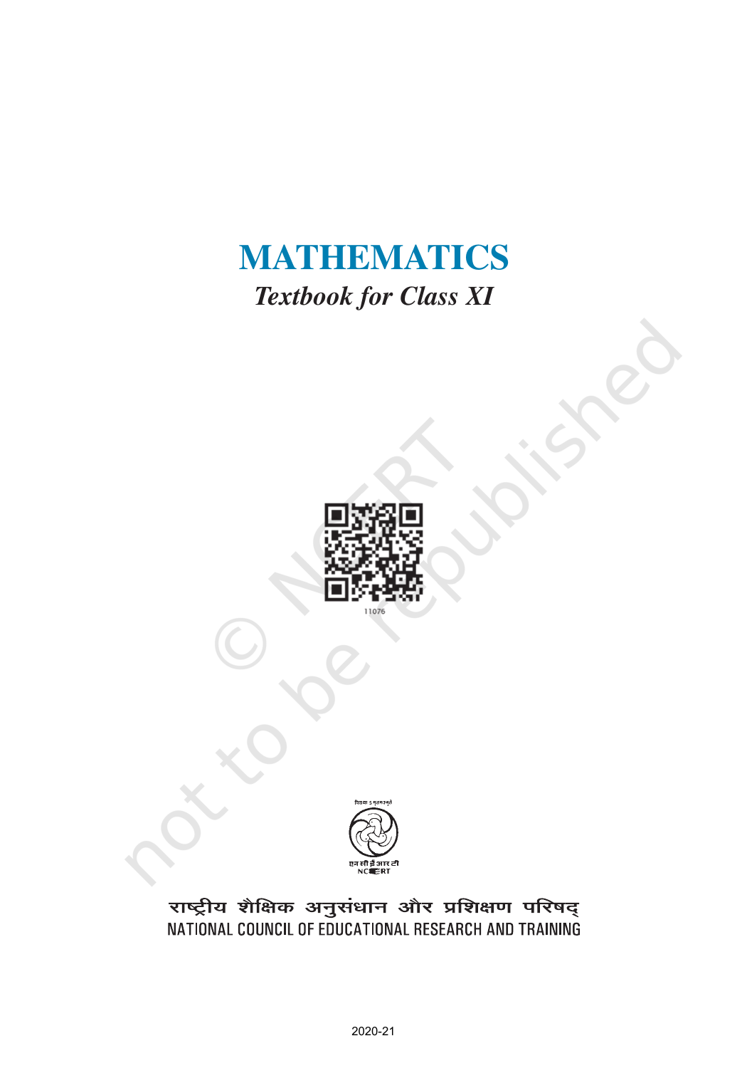# **MATHEMATICS** *Textbook for Class XI*





राष्ट्रीय शेक्षिक अनुसंधान और प्रशिक्षण परिषद्<br>NATIONAL COUNCIL OF EDUCATIONAL RESEARCH AND TRAINING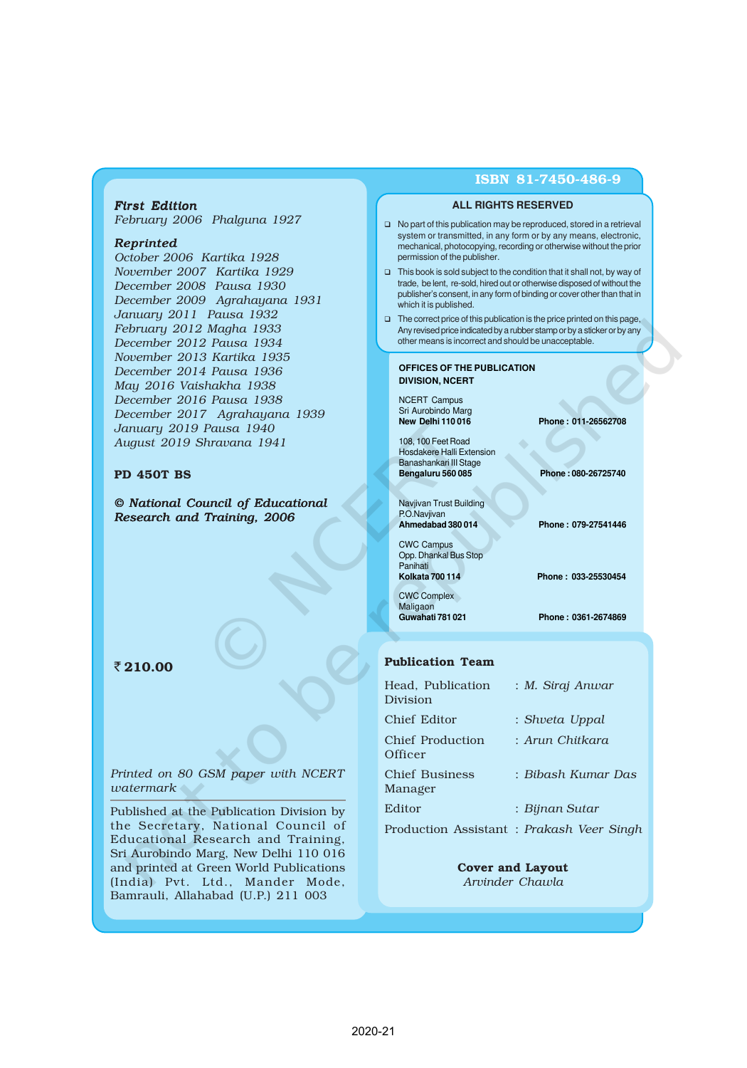#### *First Edition*

*February 2006 Phalguna 1927*

#### *Reprinted*

*October 2006 Kartika 1928 November 2007 Kartika 1929 December 2008 Pausa 1930 December 2009 Agrahayana 1931 January 2011 Pausa 1932 February 2012 Magha 1933 December 2012 Pausa 1934 November 2013 Kartika 1935 December 2014 Pausa 1936 May 2016 Vaishakha 1938 December 2016 Pausa 1938 December 2017 Agrahayana 1939 January 2019 Pausa 1940 August 2019 Shravana 1941*

#### PD 450T BS

*© National Council of Educational Research and Training, 2006*

#### ₹210.00

*Printed on 80 GSM paper with NCERT watermark*

Published at the Publication Division by the Secretary, National Council of Educational Research and Training, Sri Aurobindo Marg, New Delhi 110 016 and printed at Green World Publications (India) Pvt. Ltd., Mander Mode, Bamrauli, Allahabad (U.P.) 211 003

#### ISBN 81-7450-486-9

#### **ALL RIGHTS RESERVED**

- □ No part of this publication may be reproduced, stored in a retrieval system or transmitted, in any form or by any means, electronic, mechanical, photocopying, recording or otherwise without the prior permission of the publisher.
- $\Box$  This book is sold subject to the condition that it shall not, by way of trade, be lent, re-sold, hired out or otherwise disposed of without the publisher's consent, in any form of binding or cover other than that in which it is published.
- □ The correct price of this publication is the price printed on this page, Any revised price indicated by a rubber stamp or by a sticker or by any other means is incorrect and should be unacceptable.

#### **OFFICES OF THE PUBLICATION DIVISION, NCERT**

NCERT Campus Sri Aurobindo Marg<br>New Delhi 110 016

108, 100 Feet Road Hosdakere Halli Extension Banashankari III Stage<br>Bengaluru 560 085

Navjivan Trust Building P.O.Navjivan **Ahmedabad 380 014 Phone : 079-27541446**

CWC Campus Opp. Dhankal Bus Stop Panihati<br>Kolkata 700 114 CWC Complex Maligaon<br>Guwahati 781 021

**New Delhi 110 016 Phone : 011-26562708**

**Bengaluru 560 085 Phone : 080-26725740**

**Kolkata 700 114 Phone : 033-25530454**

**Guwahati 781 021 Phone : 0361-2674869**

#### Publication Team

| Head, Publication<br>Division | : M. Siraj Anwar                          |
|-------------------------------|-------------------------------------------|
| Chief Editor                  | : Shveta Uppal                            |
| Chief Production<br>Officer   | : Arun Chitkara                           |
| Chief Business<br>Manager     | : Bibash Kumar Das                        |
| Editor                        | : Bijnan Sutar                            |
|                               | Production Assistant : Prakash Veer Singh |

Cover and Layout *Arvinder Chawla*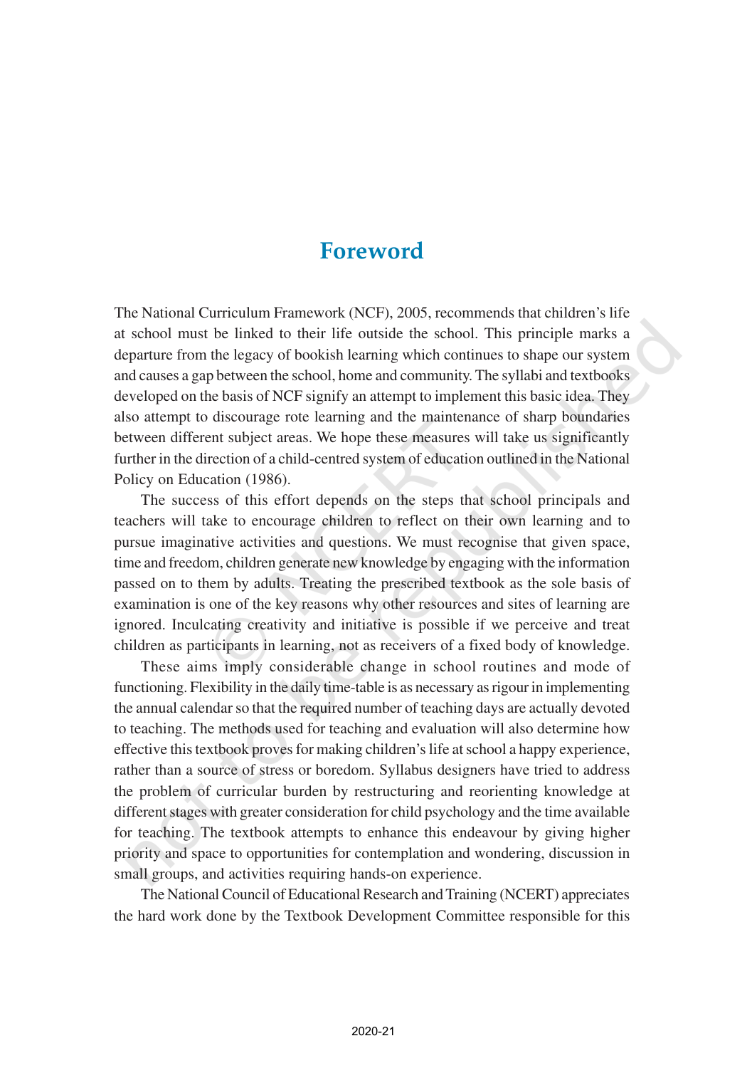## **Foreword**

The National Curriculum Framework (NCF), 2005, recommends that children's life at school must be linked to their life outside the school. This principle marks a departure from the legacy of bookish learning which continues to shape our system and causes a gap between the school, home and community. The syllabi and textbooks developed on the basis of NCF signify an attempt to implement this basic idea. They also attempt to discourage rote learning and the maintenance of sharp boundaries between different subject areas. We hope these measures will take us significantly further in the direction of a child-centred system of education outlined in the National Policy on Education (1986).

The success of this effort depends on the steps that school principals and teachers will take to encourage children to reflect on their own learning and to pursue imaginative activities and questions. We must recognise that given space, time and freedom, children generate new knowledge by engaging with the information passed on to them by adults. Treating the prescribed textbook as the sole basis of examination is one of the key reasons why other resources and sites of learning are ignored. Inculcating creativity and initiative is possible if we perceive and treat children as participants in learning, not as receivers of a fixed body of knowledge.

These aims imply considerable change in school routines and mode of functioning. Flexibility in the daily time-table is as necessary as rigour in implementing the annual calendar so that the required number of teaching days are actually devoted to teaching. The methods used for teaching and evaluation will also determine how effective this textbook proves for making children's life at school a happy experience, rather than a source of stress or boredom. Syllabus designers have tried to address the problem of curricular burden by restructuring and reorienting knowledge at different stages with greater consideration for child psychology and the time available for teaching. The textbook attempts to enhance this endeavour by giving higher priority and space to opportunities for contemplation and wondering, discussion in small groups, and activities requiring hands-on experience.

The National Council of Educational Research and Training (NCERT) appreciates the hard work done by the Textbook Development Committee responsible for this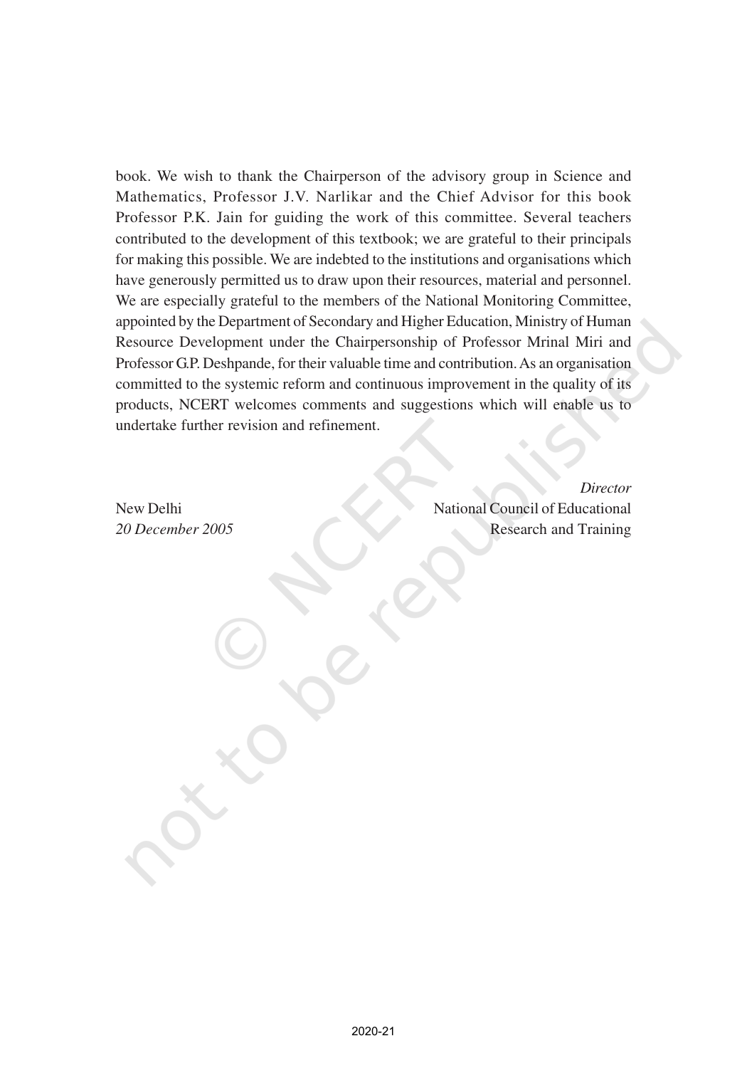book. We wish to thank the Chairperson of the advisory group in Science and Mathematics, Professor J.V. Narlikar and the Chief Advisor for this book Professor P.K. Jain for guiding the work of this committee. Several teachers contributed to the development of this textbook; we are grateful to their principals for making this possible. We are indebted to the institutions and organisations which have generously permitted us to draw upon their resources, material and personnel. We are especially grateful to the members of the National Monitoring Committee, appointed by the Department of Secondary and Higher Education, Ministry of Human Resource Development under the Chairpersonship of Professor Mrinal Miri and Professor G.P. Deshpande, for their valuable time and contribution. As an organisation committed to the systemic reform and continuous improvement in the quality of its products, NCERT welcomes comments and suggestions which will enable us to undertake further revision and refinement.

*Director* New Delhi National Council of Educational *20 December 2005* Research and Training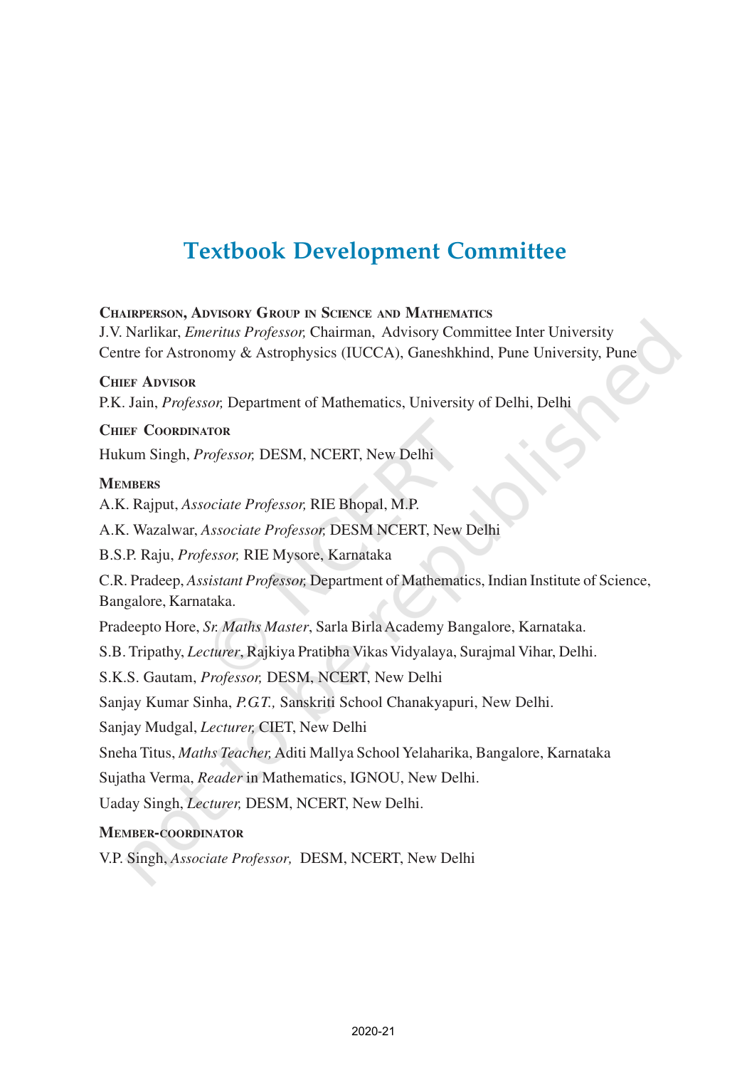## **Textbook Development Committee**

**CHAIRPERSON, ADVISORY GROUP IN SCIENCE AND MATHEMATICS** J.V. Narlikar, *Emeritus Professor,* Chairman, Advisory Committee Inter University Centre for Astronomy & Astrophysics (IUCCA), Ganeshkhind, Pune University, Pune **CHIEF ADVISOR** P.K. Jain, *Professor,* Department of Mathematics, University of Delhi, Delhi **CHIEF COORDINATOR** Hukum Singh, *Professor,* DESM, NCERT, New Delhi **MEMBERS** A.K. Rajput, *Associate Professor,* RIE Bhopal, M.P. A.K. Wazalwar, *Associate Professor,* DESM NCERT, New Delhi B.S.P. Raju, *Professor,* RIE Mysore, Karnataka C.R. Pradeep, *Assistant Professor,* Department of Mathematics, Indian Institute of Science, Bangalore, Karnataka. Pradeepto Hore, *Sr. Maths Master*, Sarla Birla Academy Bangalore, Karnataka. S.B. Tripathy, *Lecturer*, Rajkiya Pratibha Vikas Vidyalaya, Surajmal Vihar, Delhi. S.K.S. Gautam, *Professor,* DESM, NCERT, New Delhi Sanjay Kumar Sinha, *P.G.T.,* Sanskriti School Chanakyapuri, New Delhi. Sanjay Mudgal, *Lecturer,* CIET, New Delhi Sneha Titus, *Maths Teacher,*Aditi Mallya School Yelaharika, Bangalore, Karnataka Sujatha Verma, *Reader* in Mathematics, IGNOU, New Delhi. Uaday Singh, *Lecturer,* DESM, NCERT, New Delhi. **MEMBER-COORDINATOR**

V.P. Singh, *Associate Professor,* DESM, NCERT, New Delhi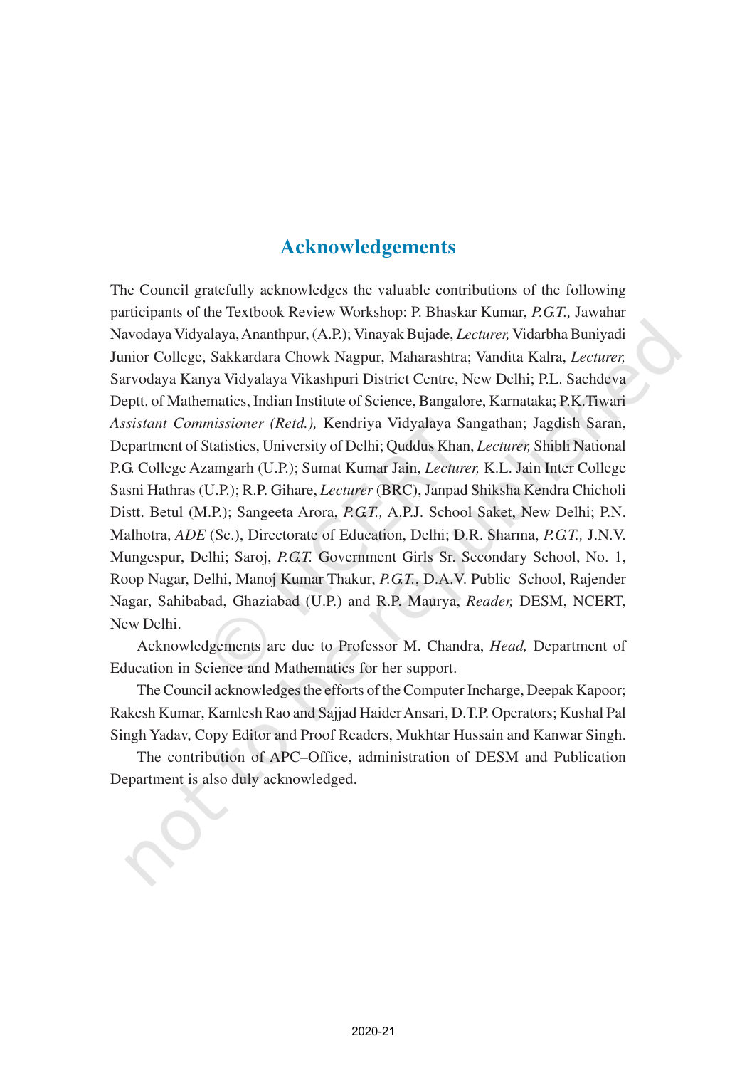### **Acknowledgements**

The Council gratefully acknowledges the valuable contributions of the following participants of the Textbook Review Workshop: P. Bhaskar Kumar, *P.G.T.,* Jawahar Navodaya Vidyalaya, Ananthpur, (A.P.); Vinayak Bujade, *Lecturer,* Vidarbha Buniyadi Junior College, Sakkardara Chowk Nagpur, Maharashtra; Vandita Kalra, *Lecturer,* Sarvodaya Kanya Vidyalaya Vikashpuri District Centre, New Delhi; P.L. Sachdeva Deptt. of Mathematics, Indian Institute of Science, Bangalore, Karnataka; P.K.Tiwari *Assistant Commissioner (Retd.),* Kendriya Vidyalaya Sangathan; Jagdish Saran, Department of Statistics, University of Delhi; Quddus Khan, *Lecturer,* Shibli National P.G. College Azamgarh (U.P.); Sumat Kumar Jain, *Lecturer,* K.L. Jain Inter College Sasni Hathras (U.P.); R.P. Gihare, *Lecturer* (BRC), Janpad Shiksha Kendra Chicholi Distt. Betul (M.P.); Sangeeta Arora, *P.G.T.,* A.P.J. School Saket, New Delhi; P.N. Malhotra, *ADE* (Sc.), Directorate of Education, Delhi; D.R. Sharma, *P.G.T.,* J.N.V. Mungespur, Delhi; Saroj, *P.G.T.* Government Girls Sr. Secondary School, No. 1, Roop Nagar, Delhi, Manoj Kumar Thakur, *P.G.T.*, D.A.V. Public School, Rajender Nagar, Sahibabad, Ghaziabad (U.P.) and R.P. Maurya, *Reader,* DESM, NCERT, New Delhi.

Acknowledgements are due to Professor M. Chandra, *Head,* Department of Education in Science and Mathematics for her support.

The Council acknowledges the efforts of the Computer Incharge, Deepak Kapoor; Rakesh Kumar, Kamlesh Rao and Sajjad Haider Ansari, D.T.P. Operators; Kushal Pal Singh Yadav, Copy Editor and Proof Readers, Mukhtar Hussain and Kanwar Singh.

The contribution of APC–Office, administration of DESM and Publication Department is also duly acknowledged.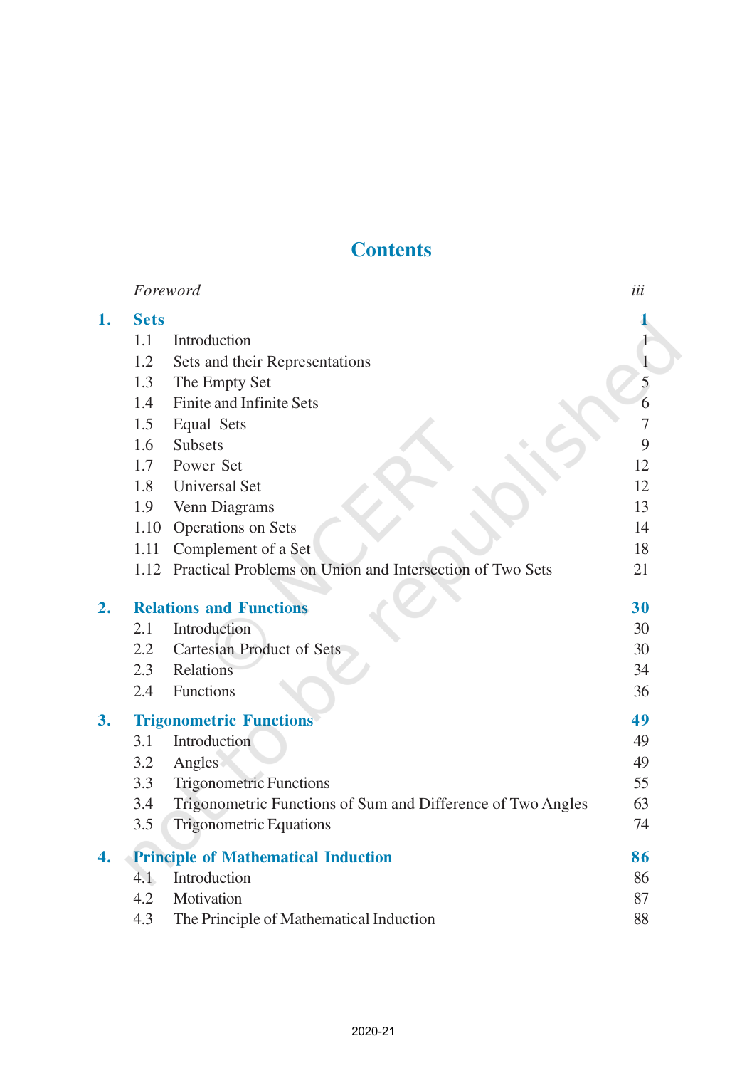## **Contents**

|    |             | Foreword                                                      | iii |
|----|-------------|---------------------------------------------------------------|-----|
| 1. | <b>Sets</b> |                                                               |     |
|    | 1.1         | Introduction                                                  |     |
|    | 1.2         | Sets and their Representations                                | 1   |
|    | 1.3         | The Empty Set                                                 | 5   |
|    | 1.4         | Finite and Infinite Sets                                      | 6   |
|    | 1.5         | Equal Sets                                                    | 7   |
|    | 1.6         | <b>Subsets</b>                                                | 9   |
|    | 1.7         | Power Set                                                     | 12  |
|    | 1.8         | <b>Universal Set</b>                                          | 12  |
|    | 1.9         | Venn Diagrams                                                 | 13  |
|    | 1.10        | Operations on Sets                                            | 14  |
|    | 1.11        | Complement of a Set                                           | 18  |
|    |             | 1.12 Practical Problems on Union and Intersection of Two Sets | 21  |
| 2. |             | <b>Relations and Functions</b>                                | 30  |
|    | 2.1         | Introduction                                                  | 30  |
|    | 2.2         | <b>Cartesian Product of Sets</b>                              | 30  |
|    | 2.3         | Relations                                                     | 34  |
|    | 2.4         | Functions                                                     | 36  |
| 3. |             | <b>Trigonometric Functions</b>                                | 49  |
|    | 3.1         | Introduction                                                  | 49  |
|    | 3.2         | Angles                                                        | 49  |
|    | 3.3         | <b>Trigonometric Functions</b>                                | 55  |
|    | 3.4         | Trigonometric Functions of Sum and Difference of Two Angles   | 63  |
|    | 3.5         | <b>Trigonometric Equations</b>                                | 74  |
| 4. |             | <b>Principle of Mathematical Induction</b>                    | 86  |
|    | 4.1         | Introduction                                                  | 86  |
|    | 4.2         | Motivation                                                    | 87  |
|    | 4.3         | The Principle of Mathematical Induction                       | 88  |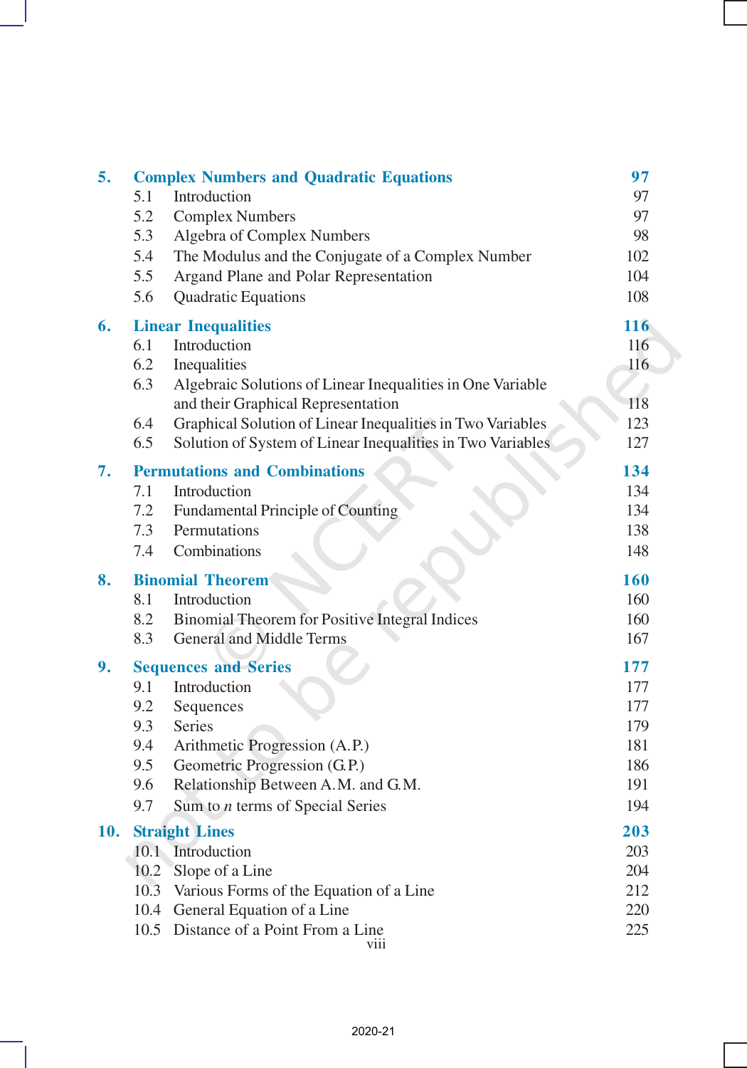| 5.  |      | <b>Complex Numbers and Quadratic Equations</b>                     | 97         |
|-----|------|--------------------------------------------------------------------|------------|
|     | 5.1  | Introduction                                                       | 97         |
|     | 5.2  | <b>Complex Numbers</b>                                             | 97         |
|     | 5.3  | Algebra of Complex Numbers                                         | 98         |
|     | 5.4  | The Modulus and the Conjugate of a Complex Number                  | 102        |
|     | 5.5  | Argand Plane and Polar Representation                              | 104        |
|     | 5.6  | Quadratic Equations                                                | 108        |
| 6.  |      | <b>Linear Inequalities</b>                                         | 116        |
|     | 6.1  | Introduction                                                       | 116        |
|     | 6.2  | Inequalities                                                       | 116        |
|     | 6.3  | Algebraic Solutions of Linear Inequalities in One Variable         |            |
|     |      | and their Graphical Representation                                 | 118        |
|     | 6.4  | Graphical Solution of Linear Inequalities in Two Variables         | 123        |
|     | 6.5  | Solution of System of Linear Inequalities in Two Variables         | 127        |
| 7.  |      | <b>Permutations and Combinations</b>                               | 134        |
|     | 7.1  | Introduction                                                       | 134        |
|     | 7.2  | Fundamental Principle of Counting                                  | 134        |
|     | 7.3  | Permutations                                                       | 138        |
|     | 7.4  | Combinations                                                       | 148        |
| 8.  |      | <b>Binomial Theorem</b>                                            | 160        |
|     |      |                                                                    |            |
|     | 8.1  | Introduction                                                       | 160        |
|     | 8.2  | Binomial Theorem for Positive Integral Indices                     | 160        |
|     | 8.3  | <b>General and Middle Terms</b>                                    | 167        |
| 9.  |      | <b>Sequences and Series</b>                                        | 177        |
|     | 9.1  | Introduction                                                       | 177        |
|     | 9.2  | Sequences                                                          | 177        |
|     | 9.3  | Series                                                             | 179        |
|     | 9.4  | Arithmetic Progression (A.P.)                                      | 181        |
|     | 9.5  | Geometric Progression (G.P.)                                       | 186        |
|     | 9.6  | Relationship Between A.M. and G.M.                                 | 191        |
|     | 9.7  | Sum to <i>n</i> terms of Special Series                            | 194        |
| 10. |      | <b>Straight Lines</b>                                              | 203        |
|     |      | 10.1 Introduction                                                  | 203        |
|     | 10.2 | Slope of a Line                                                    | 204        |
|     | 10.3 | Various Forms of the Equation of a Line                            | 212        |
|     | 10.4 | General Equation of a Line<br>10.5 Distance of a Point From a Line | 220<br>225 |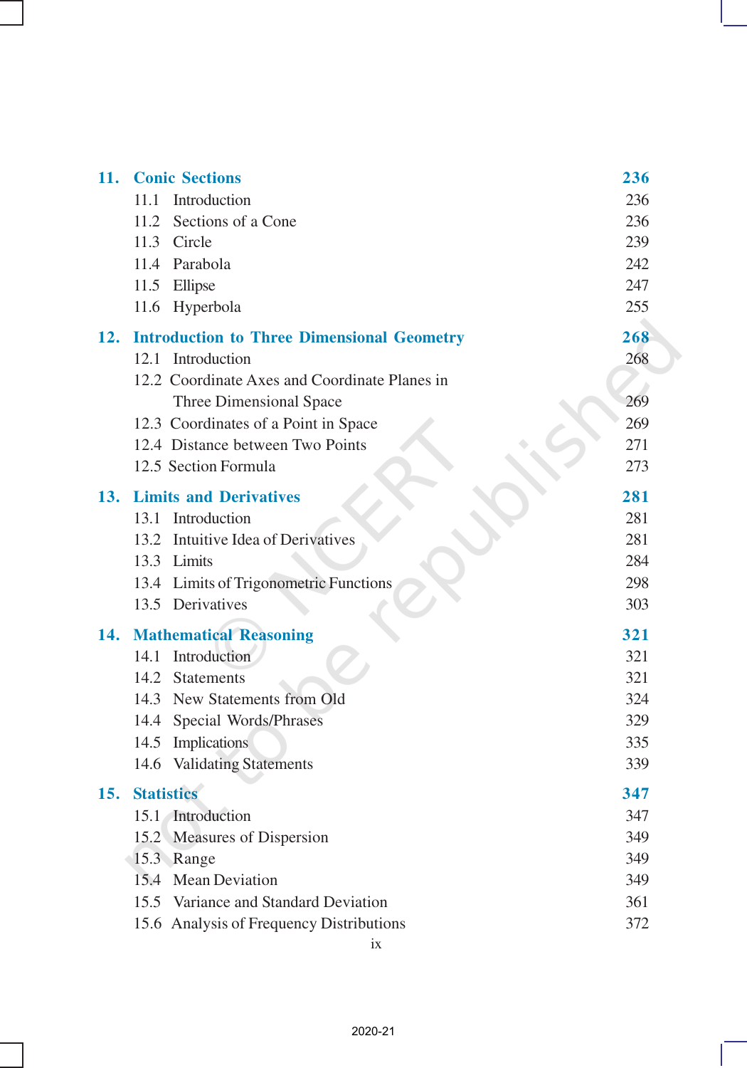| 11. | <b>Conic Sections</b>                             | 236 |
|-----|---------------------------------------------------|-----|
|     | 11.1 Introduction                                 | 236 |
|     | 11.2 Sections of a Cone                           | 236 |
|     | 11.3 Circle                                       | 239 |
|     | 11.4 Parabola                                     | 242 |
|     | 11.5 Ellipse                                      | 247 |
|     | 11.6 Hyperbola                                    | 255 |
| 12. | <b>Introduction to Three Dimensional Geometry</b> | 268 |
|     | 12.1 Introduction                                 | 268 |
|     | 12.2 Coordinate Axes and Coordinate Planes in     |     |
|     | Three Dimensional Space                           | 269 |
|     | 12.3 Coordinates of a Point in Space              | 269 |
|     | 12.4 Distance between Two Points                  | 271 |
|     | 12.5 Section Formula                              | 273 |
| 13. | <b>Limits and Derivatives</b>                     | 281 |
|     | 13.1 Introduction                                 | 281 |
|     | 13.2 Intuitive Idea of Derivatives                | 281 |
|     | 13.3 Limits                                       | 284 |
|     | 13.4 Limits of Trigonometric Functions            | 298 |
|     | 13.5 Derivatives                                  | 303 |
| 14. | <b>Mathematical Reasoning</b>                     | 321 |
|     | 14.1 Introduction                                 | 321 |
|     | 14.2 Statements                                   | 321 |
|     | 14.3 New Statements from Old                      | 324 |
|     | 14.4 Special Words/Phrases                        | 329 |
|     | 14.5 Implications                                 | 335 |
|     | 14.6 Validating Statements                        | 339 |
| 15. | <b>Statistics</b>                                 | 347 |
|     | 15.1 Introduction                                 | 347 |
|     | 15.2 Measures of Dispersion                       | 349 |
|     | 15.3 Range                                        | 349 |
|     | 15.4<br><b>Mean Deviation</b>                     | 349 |
|     | 15.5 Variance and Standard Deviation              | 361 |
|     | 15.6 Analysis of Frequency Distributions          | 372 |

ix